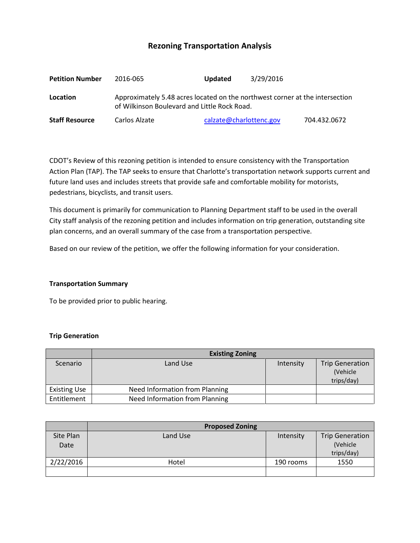# **Rezoning Transportation Analysis**

| <b>Petition Number</b> | 2016-065                                                                                                                     | <b>Updated</b>          | 3/29/2016 |              |  |
|------------------------|------------------------------------------------------------------------------------------------------------------------------|-------------------------|-----------|--------------|--|
| Location               | Approximately 5.48 acres located on the northwest corner at the intersection<br>of Wilkinson Boulevard and Little Rock Road. |                         |           |              |  |
| <b>Staff Resource</b>  | Carlos Alzate                                                                                                                | calzate@charlottenc.gov |           | 704.432.0672 |  |

CDOT's Review of this rezoning petition is intended to ensure consistency with the Transportation Action Plan (TAP). The TAP seeks to ensure that Charlotte's transportation network supports current and future land uses and includes streets that provide safe and comfortable mobility for motorists, pedestrians, bicyclists, and transit users.

This document is primarily for communication to Planning Department staff to be used in the overall City staff analysis of the rezoning petition and includes information on trip generation, outstanding site plan concerns, and an overall summary of the case from a transportation perspective.

Based on our review of the petition, we offer the following information for your consideration.

#### **Transportation Summary**

To be provided prior to public hearing.

#### **Trip Generation**

|                     | <b>Existing Zoning</b>                |           |                                                  |  |
|---------------------|---------------------------------------|-----------|--------------------------------------------------|--|
| Scenario            | Land Use                              | Intensity | <b>Trip Generation</b><br>(Vehicle<br>trips/day) |  |
| <b>Existing Use</b> | <b>Need Information from Planning</b> |           |                                                  |  |
| Entitlement         | <b>Need Information from Planning</b> |           |                                                  |  |

|           | <b>Proposed Zoning</b> |           |                        |  |
|-----------|------------------------|-----------|------------------------|--|
| Site Plan | Land Use               | Intensity | <b>Trip Generation</b> |  |
| Date      |                        |           | (Vehicle               |  |
|           |                        |           | trips/day)             |  |
| 2/22/2016 | Hotel                  | 190 rooms | 1550                   |  |
|           |                        |           |                        |  |